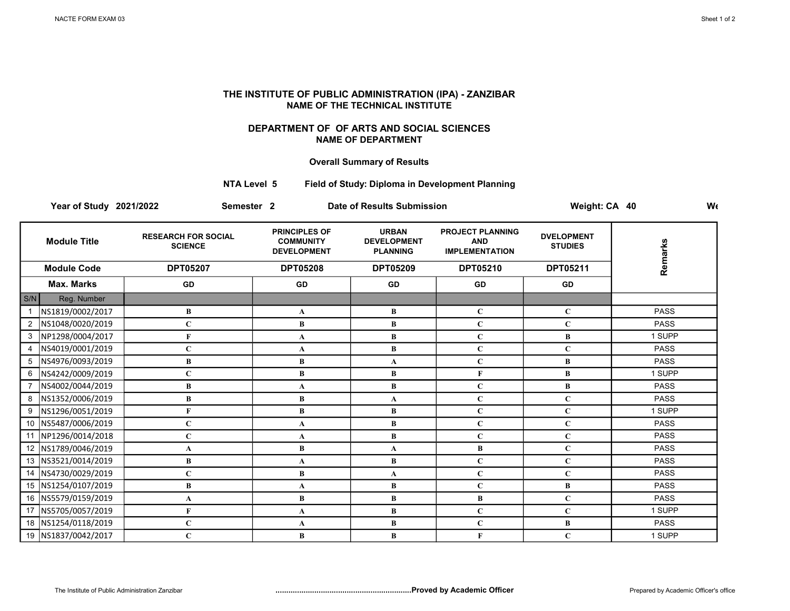## THE INSTITUTE OF PUBLIC ADMINISTRATION (IPA) - ZANZIBAR NAME OF THE TECHNICAL INSTITUTE

## DEPARTMENT OF OF ARTS AND SOCIAL SCIENCES NAME OF DEPARTMENT

## Overall Summary of Results

## NTA Level 5 Field of Study: Diploma in Development Planning

Year of Study 2021/2022 Semester 2 Date of Results Submission Weight: CA 40 Weight: CA 40

| <b>Module Title</b>    |                     | <b>RESEARCH FOR SOCIAL</b><br><b>SCIENCE</b> | <b>PRINCIPLES OF</b><br><b>COMMUNITY</b><br><b>DEVELOPMENT</b><br><b>DPT05208</b> | <b>URBAN</b><br><b>DEVELOPMENT</b><br><b>PLANNING</b><br><b>DPT05209</b> | <b>PROJECT PLANNING</b><br><b>AND</b><br><b>IMPLEMENTATION</b><br>DPT05210 | <b>DVELOPMENT</b><br><b>STUDIES</b><br>DPT05211 | Remarks     |
|------------------------|---------------------|----------------------------------------------|-----------------------------------------------------------------------------------|--------------------------------------------------------------------------|----------------------------------------------------------------------------|-------------------------------------------------|-------------|
| <b>Module Code</b>     |                     | <b>DPT05207</b>                              |                                                                                   |                                                                          |                                                                            |                                                 |             |
|                        | Max. Marks          | GD                                           | GD                                                                                | GD                                                                       | GD                                                                         | GD                                              |             |
| S/N                    | Reg. Number         |                                              |                                                                                   |                                                                          |                                                                            |                                                 |             |
|                        | NS1819/0002/2017    | B                                            | A                                                                                 | B                                                                        | $\mathbf C$                                                                | $\mathbf{C}$                                    | <b>PASS</b> |
| 2                      | NS1048/0020/2019    | $\mathbf C$                                  | B                                                                                 | B                                                                        | $\mathbf C$                                                                | $\mathbf C$                                     | <b>PASS</b> |
| 3                      | NP1298/0004/2017    | F                                            | A                                                                                 | B                                                                        | $\mathbf C$                                                                | B                                               | 1 SUPP      |
| $\boldsymbol{\Lambda}$ | NS4019/0001/2019    | $\mathbf C$                                  | A                                                                                 | $\bf{B}$                                                                 | $\mathbf C$                                                                | $\mathbf{C}$                                    | <b>PASS</b> |
| 5                      | NS4976/0093/2019    | B                                            | B                                                                                 | $\mathbf{A}$                                                             | $\mathbf C$                                                                | B                                               | <b>PASS</b> |
| 6                      | NS4242/0009/2019    | $\bf C$                                      | B                                                                                 | B                                                                        | F                                                                          | B                                               | 1 SUPP      |
|                        | NS4002/0044/2019    | B                                            | A                                                                                 | B                                                                        | $\mathbf C$                                                                | B                                               | <b>PASS</b> |
| 8                      | NS1352/0006/2019    | B                                            | В                                                                                 | $\mathbf{A}$                                                             | $\mathbf C$                                                                | $\mathbf C$                                     | <b>PASS</b> |
| 9                      | NS1296/0051/2019    | F                                            | $\bf{B}$                                                                          | $\bf{B}$                                                                 | $\mathbf C$                                                                | $\mathbf C$                                     | 1 SUPP      |
| 10                     | NS5487/0006/2019    | $\mathbf C$                                  | A                                                                                 | $\bf{B}$                                                                 | $\mathbf C$                                                                | $\mathbf C$                                     | <b>PASS</b> |
| 11                     | NP1296/0014/2018    | $\mathbf C$                                  | A                                                                                 | B                                                                        | $\mathbf C$                                                                | $\mathbf C$                                     | <b>PASS</b> |
|                        | 12 NS1789/0046/2019 | A                                            | B                                                                                 | A                                                                        | В                                                                          | $\mathbf C$                                     | <b>PASS</b> |
|                        | 13 NS3521/0014/2019 | B                                            | A                                                                                 | B                                                                        | $\mathbf C$                                                                | $\mathbf C$                                     | <b>PASS</b> |
| 14                     | NS4730/0029/2019    | $\mathbf C$                                  | B                                                                                 | $\mathbf{A}$                                                             | $\mathbf C$                                                                | $\mathbf C$                                     | <b>PASS</b> |
|                        | 15 NS1254/0107/2019 | B                                            | A                                                                                 | B                                                                        | $\mathbf C$                                                                | B                                               | <b>PASS</b> |
|                        | 16 NS5579/0159/2019 | A                                            | B                                                                                 | B                                                                        | B                                                                          | $\mathbf C$                                     | <b>PASS</b> |
|                        | 17 NS5705/0057/2019 | F                                            | A                                                                                 | B                                                                        | $\mathbf C$                                                                | $\mathbf{C}$                                    | 1 SUPP      |
|                        | 18 NS1254/0118/2019 | $\mathbf C$                                  | A                                                                                 | $\bf{B}$                                                                 | $\mathbf C$                                                                | B                                               | <b>PASS</b> |
|                        | 19 NS1837/0042/2017 | $\mathbf C$                                  | B                                                                                 | B                                                                        | F                                                                          | $\mathbf C$                                     | 1 SUPP      |